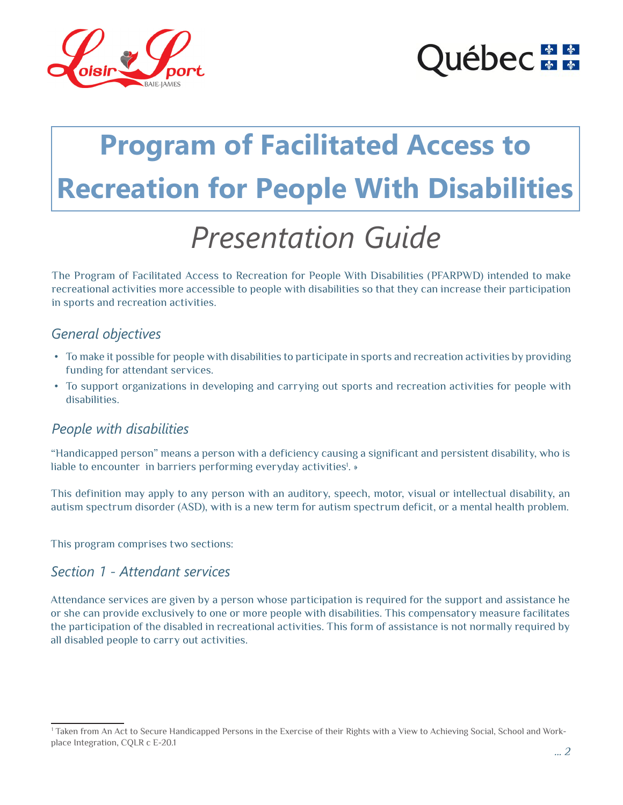

# uébec **na**

# **Program of Facilitated Access to Recreation for People With Disabilities**

# *Presentation Guide*

The Program of Facilitated Access to Recreation for People With Disabilities (PFARPWD) intended to make recreational activities more accessible to people with disabilities so that they can increase their participation in sports and recreation activities.

### *General objectives*

- • To make it possible for people with disabilities to participate in sports and recreation activities by providing funding for attendant services.
- • To support organizations in developing and carrying out sports and recreation activities for people with disabilities.

## *People with disabilities*

"Handicapped person" means a person with a deficiency causing a significant and persistent disability, who is liable to encounter in barriers performing everyday activities<sup>!</sup>. »

This definition may apply to any person with an auditory, speech, motor, visual or intellectual disability, an autism spectrum disorder (ASD), with is a new term for autism spectrum deficit, or a mental health problem.

This program comprises two sections:

#### *Section 1 - Attendant services*

Attendance services are given by a person whose participation is required for the support and assistance he or she can provide exclusively to one or more people with disabilities. This compensatory measure facilitates the participation of the disabled in recreational activities. This form of assistance is not normally required by all disabled people to carry out activities.

<sup>1</sup> Taken from An Act to Secure Handicapped Persons in the Exercise of their Rights with a View to Achieving Social, School and Workplace Integration, CQLR c E-20.1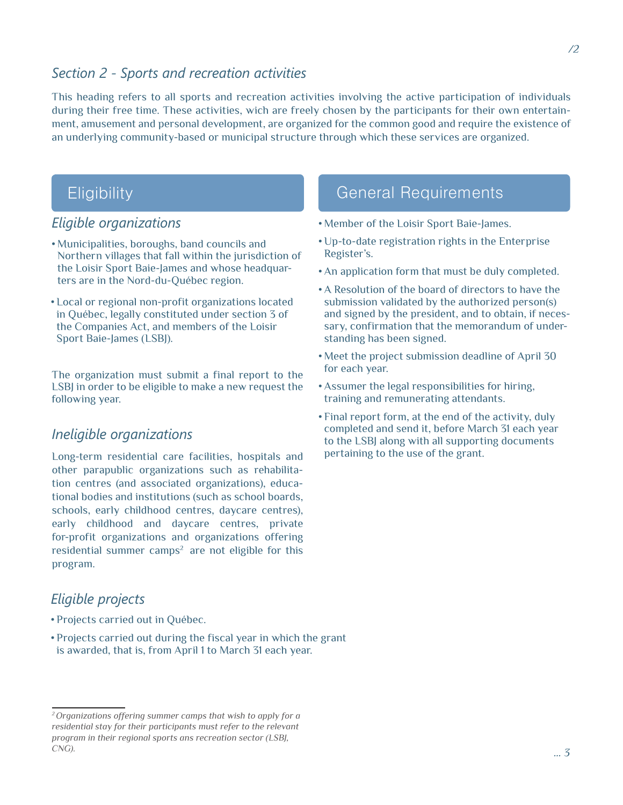#### *Section 2 - Sports and recreation activities*

This heading refers to all sports and recreation activities involving the active participation of individuals during their free time. These activities, wich are freely chosen by the participants for their own entertainment, amusement and personal development, are organized for the common good and require the existence of an underlying community-based or municipal structure through which these services are organized.

## **Eligibility**

### *Eligible organizations*

- • Municipalities, boroughs, band councils and Northern villages that fall within the jurisdiction of the Loisir Sport Baie-James and whose headquarters are in the Nord-du-Québec region.
- • Local or regional non-profit organizations located in Québec, legally constituted under section 3 of the Companies Act, and members of the Loisir Sport Baie-James (LSBJ).

The organization must submit a final report to the LSBJ in order to be eligible to make a new request the following year.

#### *Ineligible organizations*

Long-term residential care facilities, hospitals and other parapublic organizations such as rehabilitation centres (and associated organizations), educational bodies and institutions (such as school boards, schools, early childhood centres, daycare centres), early childhood and daycare centres, private for-profit organizations and organizations offering residential summer camps<sup>2</sup> are not eligible for this program.

### *Eligible projects*

- • Projects carried out in Québec.
- Projects carried out during the fiscal year in which the grant is awarded, that is, from April 1 to March 31 each year.

## General Requirements

- • Member of the Loisir Sport Baie-James.
- • Up-to-date registration rights in the Enterprise Register's.
- • An application form that must be duly completed.
- • A Resolution of the board of directors to have the submission validated by the authorized person(s) and signed by the president, and to obtain, if necessary, confirmation that the memorandum of understanding has been signed.
- • Meet the project submission deadline of April 30 for each year.
- • Assumer the legal responsibilities for hiring, training and remunerating attendants.
- Final report form, at the end of the activity, duly completed and send it, before March 31 each year to the LSBJ along with all supporting documents pertaining to the use of the grant.

*<sup>2</sup> Organizations offering summer camps that wish to apply for a residential stay for their participants must refer to the relevant program in their regional sports ans recreation sector (LSBJ, CNG).*